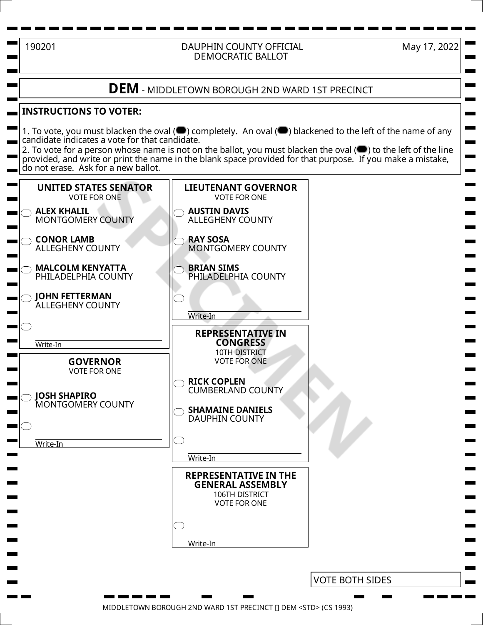## 190201 DAUPHIN COUNTY OFFICIAL DEMOCRATIC BALLOT

May 17, 2022

## **DEM** - MIDDLETOWN BOROUGH 2ND WARD 1ST PRECINCT

## **INSTRUCTIONS TO VOTER:**

1. To vote, you must blacken the oval  $(\blacksquare)$  completely. An oval  $(\blacksquare)$  blackened to the left of the name of any candidate indicates a vote for that candidate.

2. To vote for a person whose name is not on the ballot, you must blacken the oval ( $\blacksquare$ ) to the left of the line provided, and write or print the name in the blank space provided for that purpose. If you make a mistake, do not erase. Ask for a new ballot.



VOTE BOTH SIDES